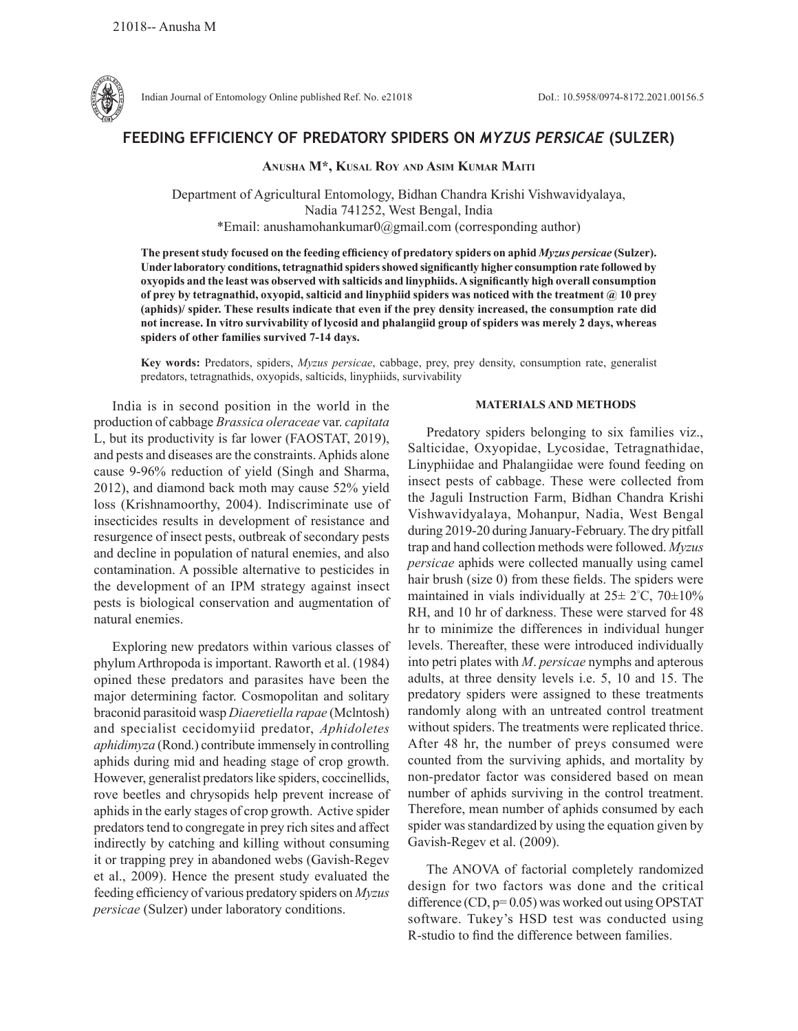

# **FEEDING EFFICIENCY OF PREDATORY SPIDERS ON** *MYZUS PERSICAE* **(SULZER)**

**Anusha M\*, Kusal Roy and Asim Kumar Maiti**

Department of Agricultural Entomology, Bidhan Chandra Krishi Vishwavidyalaya, Nadia 741252, West Bengal, India \*Email: anushamohankumar0@gmail.com (corresponding author)

**The present study focused on the feeding efficiency of predatory spiders on aphid** *Myzus persicae* **(Sulzer). Under laboratory conditions, tetragnathid spiders showed significantly higher consumption rate followed by oxyopids and the least was observed with salticids and linyphiids. A significantly high overall consumption of prey by tetragnathid, oxyopid, salticid and linyphiid spiders was noticed with the treatment @ 10 prey (aphids)/ spider. These results indicate that even if the prey density increased, the consumption rate did not increase. In vitro survivability of lycosid and phalangiid group of spiders was merely 2 days, whereas spiders of other families survived 7-14 days.**

**Key words:** Predators, spiders, *Myzus persicae*, cabbage, prey, prey density, consumption rate, generalist predators, tetragnathids, oxyopids, salticids, linyphiids, survivability

India is in second position in the world in the production of cabbage *Brassica oleraceae* var. *capitata*  L, but its productivity is far lower (FAOSTAT, 2019), and pests and diseases are the constraints. Aphids alone cause 9-96% reduction of yield (Singh and Sharma, 2012), and diamond back moth may cause 52% yield loss (Krishnamoorthy, 2004). Indiscriminate use of insecticides results in development of resistance and resurgence of insect pests, outbreak of secondary pests and decline in population of natural enemies, and also contamination. A possible alternative to pesticides in the development of an IPM strategy against insect pests is biological conservation and augmentation of natural enemies.

Exploring new predators within various classes of phylum Arthropoda is important. Raworth et al. (1984) opined these predators and parasites have been the major determining factor. Cosmopolitan and solitary braconid parasitoid wasp *Diaeretiella rapae* (Mclntosh) and specialist cecidomyiid predator, *Aphidoletes aphidimyza* (Rond.) contribute immensely in controlling aphids during mid and heading stage of crop growth. However, generalist predators like spiders, coccinellids, rove beetles and chrysopids help prevent increase of aphids in the early stages of crop growth. Active spider predators tend to congregate in prey rich sites and affect indirectly by catching and killing without consuming it or trapping prey in abandoned webs (Gavish-Regev et al., 2009). Hence the present study evaluated the feeding efficiency of various predatory spiders on *Myzus persicae* (Sulzer) under laboratory conditions.

#### **MATERIALS AND METHODS**

Predatory spiders belonging to six families viz., Salticidae, Oxyopidae, Lycosidae, Tetragnathidae, Linyphiidae and Phalangiidae were found feeding on insect pests of cabbage. These were collected from the Jaguli Instruction Farm, Bidhan Chandra Krishi Vishwavidyalaya, Mohanpur, Nadia, West Bengal during 2019-20 during January-February. The dry pitfall trap and hand collection methods were followed. *Myzus persicae* aphids were collected manually using camel hair brush (size 0) from these fields. The spiders were maintained in vials individually at  $25 \pm 2^{\circ}$ C,  $70 \pm 10\%$ RH, and 10 hr of darkness. These were starved for 48 hr to minimize the differences in individual hunger levels. Thereafter, these were introduced individually into petri plates with *M*. *persicae* nymphs and apterous adults, at three density levels i.e. 5, 10 and 15. The predatory spiders were assigned to these treatments randomly along with an untreated control treatment without spiders. The treatments were replicated thrice. After 48 hr, the number of preys consumed were counted from the surviving aphids, and mortality by non-predator factor was considered based on mean number of aphids surviving in the control treatment. Therefore, mean number of aphids consumed by each spider was standardized by using the equation given by Gavish-Regev et al. (2009).

The ANOVA of factorial completely randomized design for two factors was done and the critical difference (CD,  $p=0.05$ ) was worked out using OPSTAT software. Tukey's HSD test was conducted using R-studio to find the difference between families.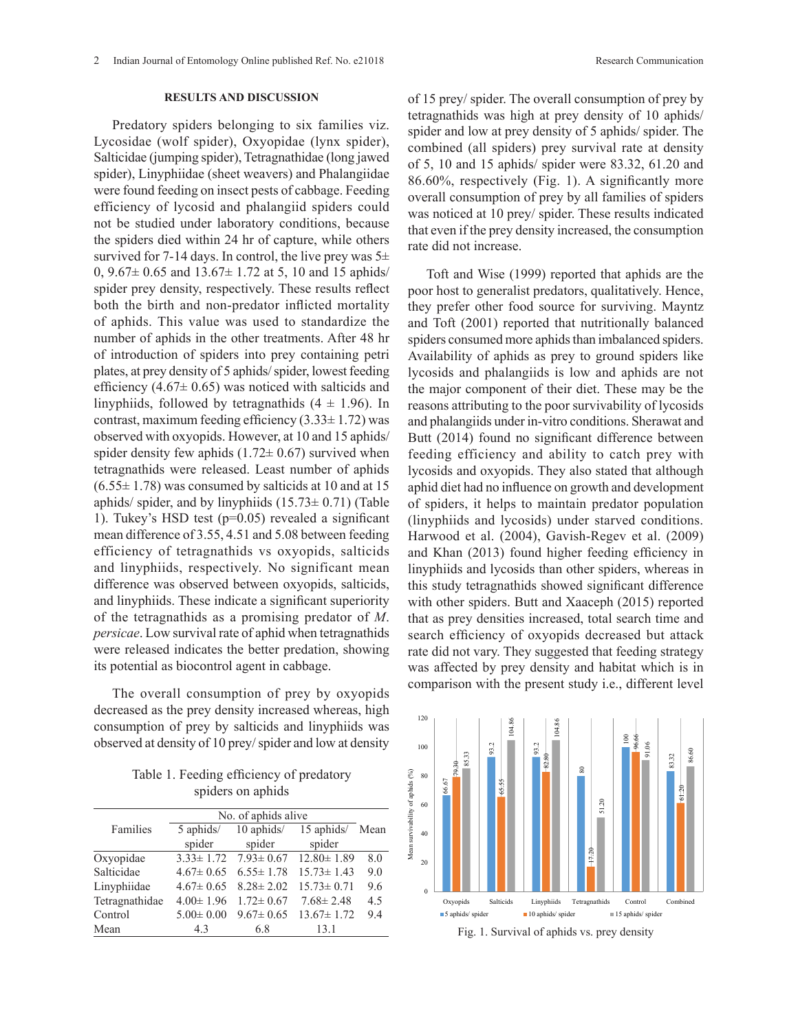## **RESULTS AND DISCUSSION**

Predatory spiders belonging to six families viz. Lycosidae (wolf spider), Oxyopidae (lynx spider), Salticidae (jumping spider), Tetragnathidae (long jawed spider), Linyphiidae (sheet weavers) and Phalangiidae were found feeding on insect pests of cabbage. Feeding efficiency of lycosid and phalangiid spiders could not be studied under laboratory conditions, because the spiders died within 24 hr of capture, while others survived for 7-14 days. In control, the live prey was  $5\pm$ 0,  $9.67 \pm 0.65$  and  $13.67 \pm 1.72$  at 5, 10 and 15 aphids/ spider prey density, respectively. These results reflect both the birth and non-predator inflicted mortality of aphids. This value was used to standardize the number of aphids in the other treatments. After 48 hr of introduction of spiders into prey containing petri plates, at prey density of 5 aphids/ spider, lowest feeding efficiency  $(4.67 \pm 0.65)$  was noticed with salticids and linyphiids, followed by tetragnathids  $(4 \pm 1.96)$ . In contrast, maximum feeding efficiency  $(3.33 \pm 1.72)$  was observed with oxyopids. However, at 10 and 15 aphids/ spider density few aphids  $(1.72 \pm 0.67)$  survived when tetragnathids were released. Least number of aphids  $(6.55 \pm 1.78)$  was consumed by salticids at 10 and at 15 aphids/ spider, and by linyphiids  $(15.73 \pm 0.71)$  (Table 1). Tukey's HSD test (p=0.05) revealed a significant mean difference of 3.55, 4.51 and 5.08 between feeding efficiency of tetragnathids vs oxyopids, salticids and linyphiids, respectively. No significant mean difference was observed between oxyopids, salticids, and linyphiids. These indicate a significant superiority of the tetragnathids as a promising predator of *M*. *persicae*. Low survival rate of aphid when tetragnathids were released indicates the better predation, showing its potential as biocontrol agent in cabbage.

The overall consumption of prey by oxyopids decreased as the prey density increased whereas, high consumption of prey by salticids and linyphiids was observed at density of 10 prey/ spider and low at density

Table 1. Feeding efficiency of predatory spiders on aphids

|                | No. of aphids alive |                 |                                                  |      |
|----------------|---------------------|-----------------|--------------------------------------------------|------|
| Families       | 5 aphids/           | $10$ aphids/    | $15$ aphids/                                     | Mean |
|                | spider              | spider          | spider                                           |      |
| Oxyopidae      |                     |                 | $3.33 \pm 1.72$ $7.93 \pm 0.67$ $12.80 \pm 1.89$ | 8.0  |
| Salticidae     | $4.67 \pm 0.65$     | $6.55 \pm 1.78$ | $15.73 \pm 1.43$                                 | 9.0  |
| Linyphiidae    | $4.67 \pm 0.65$     | $8.28 \pm 2.02$ | $15.73 \pm 0.71$                                 | 9.6  |
| Tetragnathidae | $4.00 \pm 1.96$     | $1.72 \pm 0.67$ | $7.68 \pm 2.48$                                  | 4.5  |
| Control        | $5.00 \pm 0.00$     | $9.67 \pm 0.65$ | $13.67 \pm 1.72$                                 | 9.4  |
| Mean           | 4.3                 | 6.8             | 13.1                                             |      |

of 15 prey/ spider. The overall consumption of prey by tetragnathids was high at prey density of 10 aphids/ spider and low at prey density of 5 aphids/ spider. The combined (all spiders) prey survival rate at density of 5, 10 and 15 aphids/ spider were 83.32, 61.20 and 86.60%, respectively (Fig. 1). A significantly more overall consumption of prey by all families of spiders was noticed at 10 prey/ spider. These results indicated that even if the prey density increased, the consumption rate did not increase.

Toft and Wise (1999) reported that aphids are the poor host to generalist predators, qualitatively. Hence, they prefer other food source for surviving. Mayntz and Toft (2001) reported that nutritionally balanced spiders consumed more aphids than imbalanced spiders. Availability of aphids as prey to ground spiders like lycosids and phalangiids is low and aphids are not the major component of their diet. These may be the reasons attributing to the poor survivability of lycosids and phalangiids under in-vitro conditions. Sherawat and Butt (2014) found no significant difference between feeding efficiency and ability to catch prey with lycosids and oxyopids. They also stated that although aphid diet had no influence on growth and development of spiders, it helps to maintain predator population (linyphiids and lycosids) under starved conditions. Harwood et al. (2004), Gavish-Regev et al. (2009) and Khan (2013) found higher feeding efficiency in linyphiids and lycosids than other spiders, whereas in this study tetragnathids showed significant difference with other spiders. Butt and Xaaceph (2015) reported that as prey densities increased, total search time and that as prey densities increased, total search time and search efficiency of oxyopids decreased but attack rate did not vary. They suggested that feeding strategy was affected by prey density and habitat which is in comparison with the present study i.e., different level prej aenomiec nieremoca, total center un